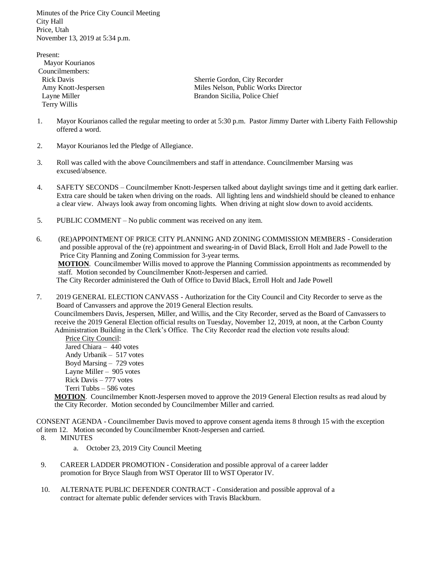Minutes of the Price City Council Meeting City Hall Price, Utah November 13, 2019 at 5:34 p.m.

Present: Mayor Kourianos Councilmembers: Terry Willis

 Rick Davis Sherrie Gordon, City Recorder Amy Knott-Jespersen Miles Nelson, Public Works Director Layne Miller Brandon Sicilia, Police Chief

- 1. Mayor Kourianos called the regular meeting to order at 5:30 p.m. Pastor Jimmy Darter with Liberty Faith Fellowship offered a word.
- 2. Mayor Kourianos led the Pledge of Allegiance.
- 3. Roll was called with the above Councilmembers and staff in attendance. Councilmember Marsing was excused/absence.
- 4. SAFETY SECONDS Councilmember Knott-Jespersen talked about daylight savings time and it getting dark earlier. Extra care should be taken when driving on the roads. All lighting lens and windshield should be cleaned to enhance a clear view. Always look away from oncoming lights. When driving at night slow down to avoid accidents.
- 5. PUBLIC COMMENT No public comment was received on any item.
- 6. (RE)APPOINTMENT OF PRICE CITY PLANNING AND ZONING COMMISSION MEMBERS Consideration and possible approval of the (re) appointment and swearing-in of David Black, Erroll Holt and Jade Powell to the Price City Planning and Zoning Commission for 3-year terms.

 **MOTION**. Councilmember Willis moved to approve the Planning Commission appointments as recommended by staff. Motion seconded by Councilmember Knott-Jespersen and carried.

The City Recorder administered the Oath of Office to David Black, Erroll Holt and Jade Powell

7. 2019 GENERAL ELECTION CANVASS - Authorization for the City Council and City Recorder to serve as the Board of Canvassers and approve the 2019 General Election results.

 Councilmembers Davis, Jespersen, Miller, and Willis, and the City Recorder, served as the Board of Canvassers to receive the 2019 General Election official results on Tuesday, November 12, 2019, at noon, at the Carbon County Administration Building in the Clerk's Office. The City Recorder read the election vote results aloud:

 Price City Council: Jared Chiara – 440 votes Andy Urbanik – 517 votes Boyd Marsing – 729 votes Layne Miller – 905 votes Rick Davis – 777 votes Terri Tubbs – 586 votes

 **MOTION**. Councilmember Knott-Jespersen moved to approve the 2019 General Election results as read aloud by the City Recorder. Motion seconded by Councilmember Miller and carried.

CONSENT AGENDA - Councilmember Davis moved to approve consent agenda items 8 through 15 with the exception of item 12. Motion seconded by Councilmember Knott-Jespersen and carried.

8. MINUTES

a. October 23, 2019 City Council Meeting

- 9. CAREER LADDER PROMOTION Consideration and possible approval of a career ladder promotion for Bryce Slaugh from WST Operator III to WST Operator IV.
- 10. ALTERNATE PUBLIC DEFENDER CONTRACT Consideration and possible approval of a contract for alternate public defender services with Travis Blackburn.